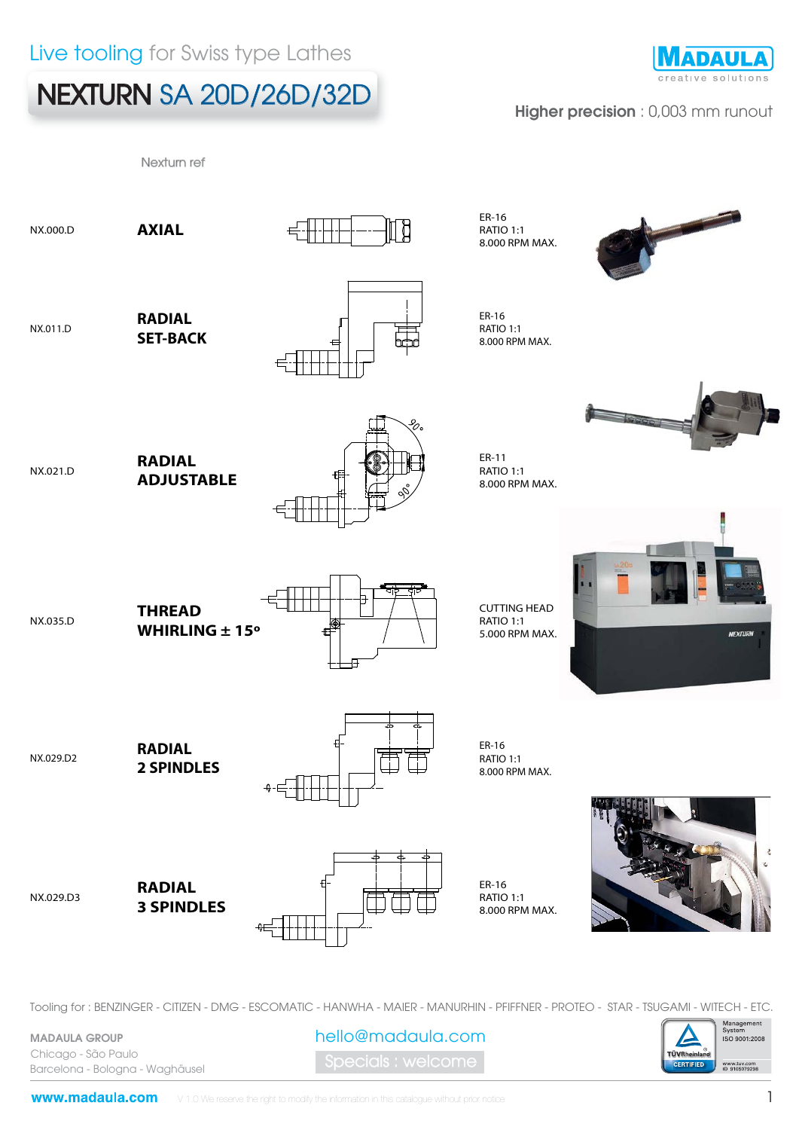## NEXTURN SA 20D/26D/32D

Nexturn ref



### Higher precision : 0,003 mm runout



Tooling for : BENZINGER - CITIZEN - DMG - ESCOMATIC - HANWHA - MAIER - MANURHIN - PFIFFNER - PROTEO - STAR - TSUGAMI - WITECH - ETC.

MADAULA GROUP Chicago - São Paulo Barcelona - Bologna - Waghäusel

pecials : welcome hello@madaula.com

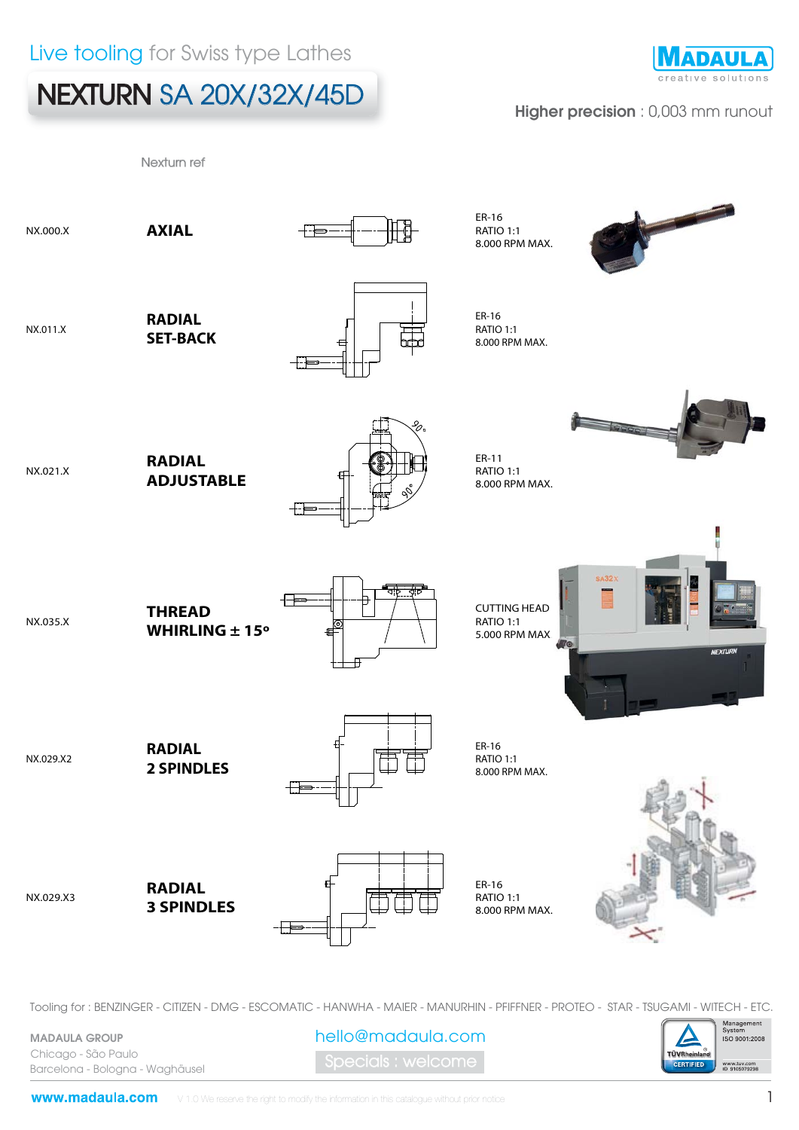# NEXTURN SA 20X/32X/45D



### Higher precision : 0,003 mm runout



Tooling for : BENZINGER - CITIZEN - DMG - ESCOMATIC - HANWHA - MAIER - MANURHIN - PFIFFNER - PROTEO - STAR - TSUGAMI - WITECH - ETC.

MADAULA GROUP Chicago - São Paulo Barcelona - Bologna - Waghäusel

pecials : welcome hello@madaula.com

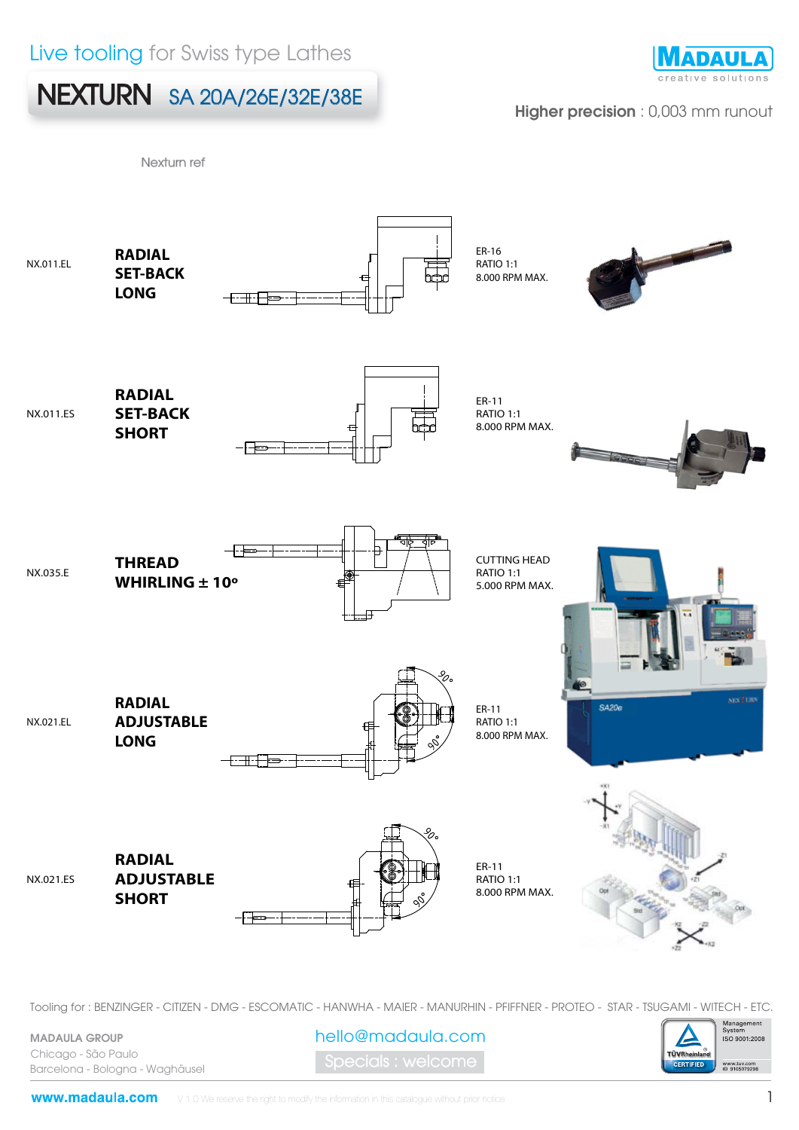## Live tooling for Swiss type Lathes

## NEXTURN SA 20A/26E/32E/38E



#### Higher precision : 0,003 mm runout

Nexturn ref



Tooling for : BENZINGER - CITIZEN - DMG - ESCOMATIC - HANWHA - MAIER - MANURHIN - PFIFFNER - PROTEO - STAR - TSUGAMI - WITECH - ETC.

MADAULA GROUP Chicago - São Paulo Barcelona - Bologna - Waghäusel

pecials : welcome hello@madaula.com